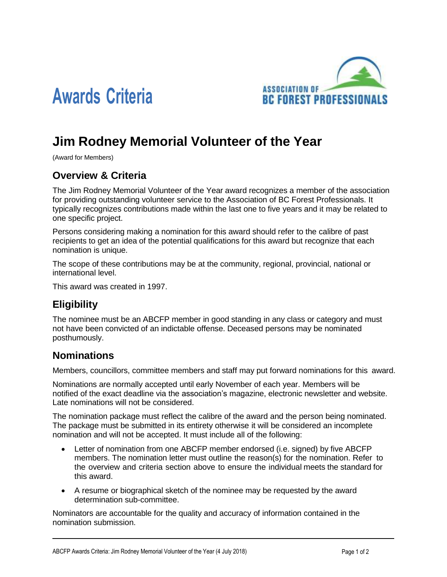

# **Awards Criteria**

# **Jim Rodney Memorial Volunteer of the Year**

(Award for Members)

## **Overview & Criteria**

The Jim Rodney Memorial Volunteer of the Year award recognizes a member of the association for providing outstanding volunteer service to the Association of BC Forest Professionals. It typically recognizes contributions made within the last one to five years and it may be related to one specific project.

Persons considering making a nomination for this award should refer to the calibre of past recipients to get an idea of the potential qualifications for this award but recognize that each nomination is unique.

The scope of these contributions may be at the community, regional, provincial, national or international level.

This award was created in 1997.

## **Eligibility**

The nominee must be an ABCFP member in good standing in any class or category and must not have been convicted of an indictable offense. Deceased persons may be nominated posthumously.

#### **Nominations**

Members, councillors, committee members and staff may put forward nominations for this award.

Nominations are normally accepted until early November of each year. Members will be notified of the exact deadline via the association's magazine, electronic newsletter and website. Late nominations will not be considered.

The nomination package must reflect the calibre of the award and the person being nominated. The package must be submitted in its entirety otherwise it will be considered an incomplete nomination and will not be accepted. It must include all of the following:

- Letter of nomination from one ABCFP member endorsed (i.e. signed) by five ABCFP members. The nomination letter must outline the reason(s) for the nomination. Refer to the overview and criteria section above to ensure the individual meets the standard for this award.
- A resume or biographical sketch of the nominee may be requested by the award determination sub-committee.

Nominators are accountable for the quality and accuracy of information contained in the nomination submission.